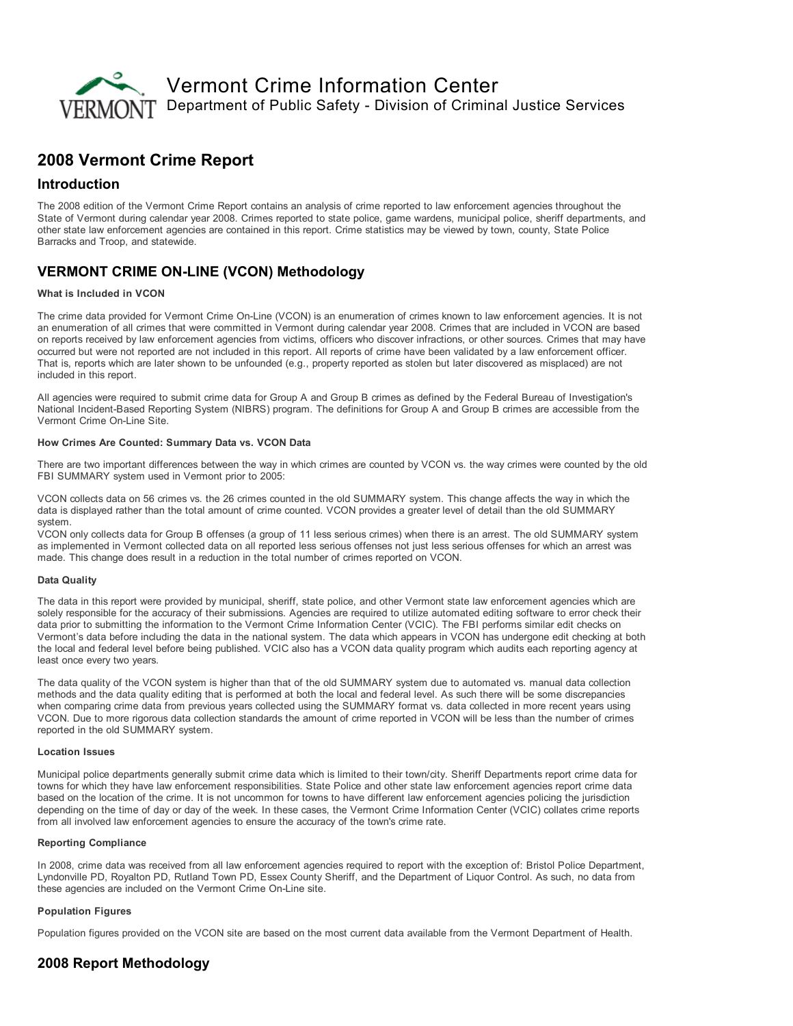

# 2008 Vermont Crime Report

## Introduction

The 2008 edition of the Vermont Crime Report contains an analysis of crime reported to law enforcement agencies throughout the State of Vermont during calendar year 2008. Crimes reported to state police, game wardens, municipal police, sheriff departments, and other state law enforcement agencies are contained in this report. Crime statistics may be viewed by town, county, State Police Barracks and Troop, and statewide.

## **VERMONT CRIME ON-LINE (VCON) Methodology**

#### What is Included in VCON

The crime data provided for Vermont Crime On-Line (VCON) is an enumeration of crimes known to law enforcement agencies. It is not an enumeration of all crimes that were committed in Vermont during calendar year 2008. Crimes that are included in VCON are based on reports received by law enforcement agencies from victims, officers who discover infractions, or other sources. Crimes that may have occurred but were not reported are not included in this report. All reports of crime have been validated by a law enforcement officer. That is, reports which are later shown to be unfounded (e.g., property reported as stolen but later discovered as misplaced) are not included in this report.

All agencies were required to submit crime data for Group A and Group B crimes as defined by the Federal Bureau of Investigation's National Incident-Based Reporting System (NIBRS) program. The definitions for Group A and Group B crimes are accessible from the Vermont Crime On-Line Site.

### How Crimes Are Counted: Summary Data vs. VCON Data

There are two important differences between the way in which crimes are counted by VCON vs. the way crimes were counted by the old FBI SUMMARY system used in Vermont prior to 2005:

VCON collects data on 56 crimes vs. the 26 crimes counted in the old SUMMARY system. This change affects the way in which the data is displayed rather than the total amount of crime counted. VCON provides a greater level of detail than the old SUMMARY system.

VCON only collects data for Group B offenses (a group of 11 less serious crimes) when there is an arrest. The old SUMMARY system as implemented in Vermont collected data on all reported less serious offenses not just less serious offenses for which an arrest was made. This change does result in a reduction in the total number of crimes reported on VCON.

#### Data Quality

The data in this report were provided by municipal, sheriff, state police, and other Vermont state law enforcement agencies which are solely responsible for the accuracy of their submissions. Agencies are required to utilize automated editing software to error check their data prior to submitting the information to the Vermont Crime Information Center (VCIC). The FBI performs similar edit checks on Vermont's data before including the data in the national system. The data which appears in VCON has undergone edit checking at both the local and federal level before being published. VCIC also has a VCON data quality program which audits each reporting agency at least once every two years.

The data quality of the VCON system is higher than that of the old SUMMARY system due to automated vs. manual data collection methods and the data quality editing that is performed at both the local and federal level. As such there will be some discrepancies when comparing crime data from previous years collected using the SUMMARY format vs. data collected in more recent years using VCON. Due to more rigorous data collection standards the amount of crime reported in VCON will be less than the number of crimes reported in the old SUMMARY system.

#### Location Issues

Municipal police departments generally submit crime data which is limited to their town/city. Sheriff Departments report crime data for towns for which they have law enforcement responsibilities. State Police and other state law enforcement agencies report crime data based on the location of the crime. It is not uncommon for towns to have different law enforcement agencies policing the jurisdiction depending on the time of day or day of the week. In these cases, the Vermont Crime Information Center (VCIC) collates crime reports from all involved law enforcement agencies to ensure the accuracy of the town's crime rate.

#### Reporting Compliance

In 2008, crime data was received from all law enforcement agencies required to report with the exception of: Bristol Police Department, Lyndonville PD, Royalton PD, Rutland Town PD, Essex County Sheriff, and the Department of Liquor Control. As such, no data from these agencies are included on the Vermont Crime On-Line site.

#### Population Figures

Population figures provided on the VCON site are based on the most current data available from the Vermont Department of Health.

## 2008 Report Methodology